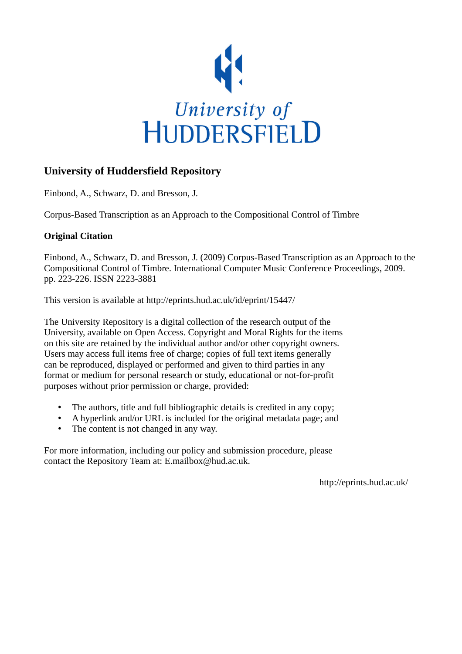<span id="page-0-0"></span>

# **University of Huddersfield Repository**

Einbond, A., Schwarz, D. and Bresson, J.

Corpus-Based Transcription as an Approach to the Compositional Control of Timbre

## **Original Citation**

Einbond, A., Schwarz, D. and Bresson, J. (2009) Corpus-Based Transcription as an Approach to the Compositional Control of Timbre. International Computer Music Conference Proceedings, 2009. pp. 223-226. ISSN 2223-3881

This version is available at http://eprints.hud.ac.uk/id/eprint/15447/

The University Repository is a digital collection of the research output of the University, available on Open Access. Copyright and Moral Rights for the items on this site are retained by the individual author and/or other copyright owners. Users may access full items free of charge; copies of full text items generally can be reproduced, displayed or performed and given to third parties in any format or medium for personal research or study, educational or not-for-profit purposes without prior permission or charge, provided:

- The authors, title and full bibliographic details is credited in any copy;
- A hyperlink and/or URL is included for the original metadata page; and
- The content is not changed in any way.

For more information, including our policy and submission procedure, please contact the Repository Team at: E.mailbox@hud.ac.uk.

http://eprints.hud.ac.uk/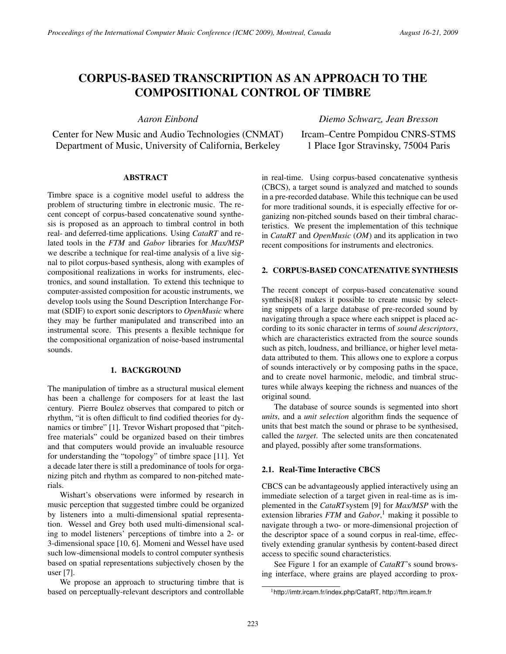## <span id="page-1-0"></span>[CORPUS-BASED TRANSCRIPTION AS AN APPROACH TO THE](#page-0-0) COMPOSITIONAL CONTROL OF TIMBRE

*Aaron Einbond*

Center for New Music and Audio Technologies (CNMAT) Department of Music, University of California, Berkeley

## ABSTRACT

Timbre space is a cognitive model useful to address the problem of structuring timbre in electronic music. The recent concept of corpus-based concatenative sound synthesis is proposed as an approach to timbral control in both real- and deferred-time applications. Using *CataRT* and related tools in the *FTM* and *Gabor* libraries for *Max/MSP* we describe a technique for real-time analysis of a live signal to pilot corpus-based synthesis, along with examples of compositional realizations in works for instruments, electronics, and sound installation. To extend this technique to computer-assisted composition for acoustic instruments, we develop tools using the Sound Description Interchange Format (SDIF) to export sonic descriptors to *OpenMusic* where they may be further manipulated and transcribed into an instrumental score. This presents a flexible technique for the compositional organization of noise-based instrumental sounds.

#### 1. BACKGROUND

The manipulation of timbre as a structural musical element has been a challenge for composers for at least the last century. Pierre Boulez observes that compared to pitch or rhythm, "it is often difficult to find codified theories for dynamics or timbre" [1]. Trevor Wishart proposed that "pitchfree materials" could be organized based on their timbres and that computers would provide an invaluable resource for understanding the "topology" of timbre space [11]. Yet a decade later there is still a predominance of tools for organizing pitch and rhythm as compared to non-pitched materials.

Wishart's observations were informed by research in music perception that suggested timbre could be organized by listeners into a multi-dimensional spatial representation. Wessel and Grey both used multi-dimensional scaling to model listeners' perceptions of timbre into a 2- or 3-dimensional space [10, 6]. Momeni and Wessel have used such low-dimensional models to control computer synthesis based on spatial representations subjectively chosen by the user [7].

We propose an approach to structuring timbre that is based on perceptually-relevant descriptors and controllable *Diemo Schwarz, Jean Bresson*

Ircam–Centre Pompidou CNRS-STMS 1 Place Igor Stravinsky, 75004 Paris

in real-time. Using corpus-based concatenative synthesis (CBCS), a target sound is analyzed and matched to sounds in a pre-recorded database. While this technique can be used for more traditional sounds, it is especially effective for organizing non-pitched sounds based on their timbral characteristics. We present the implementation of this technique in *CataRT* and *OpenMusic* (*OM*) and its application in two recent compositions for instruments and electronics.

#### 2. CORPUS-BASED CONCATENATIVE SYNTHESIS

The recent concept of corpus-based concatenative sound synthesis[8] makes it possible to create music by selecting snippets of a large database of pre-recorded sound by navigating through a space where each snippet is placed according to its sonic character in terms of *sound descriptors*, which are characteristics extracted from the source sounds such as pitch, loudness, and brilliance, or higher level metadata attributed to them. This allows one to explore a corpus of sounds interactively or by composing paths in the space, and to create novel harmonic, melodic, and timbral structures while always keeping the richness and nuances of the original sound.

The database of source sounds is segmented into short *units*, and a *unit selection* algorithm finds the sequence of units that best match the sound or phrase to be synthesised, called the *target*. The selected units are then concatenated and played, possibly after some transformations.

#### 2.1. Real-Time Interactive CBCS

CBCS can be advantageously applied interactively using an immediate selection of a target given in real-time as is implemented in the *CataRT*system [9] for *Max/MSP* with the extension libraries *FTM* and *Gabor*, <sup>1</sup> making it possible to navigate through a two- or more-dimensional projection of the descriptor space of a sound corpus in real-time, effectively extending granular synthesis by content-based direct access to specific sound characteristics.

See Figure 1 for an example of *CataRT*'s sound browsing interface, where grains are played according to prox-

<sup>1</sup>http://imtr.ircam.fr/index.php/CataRT, http://ftm.ircam.fr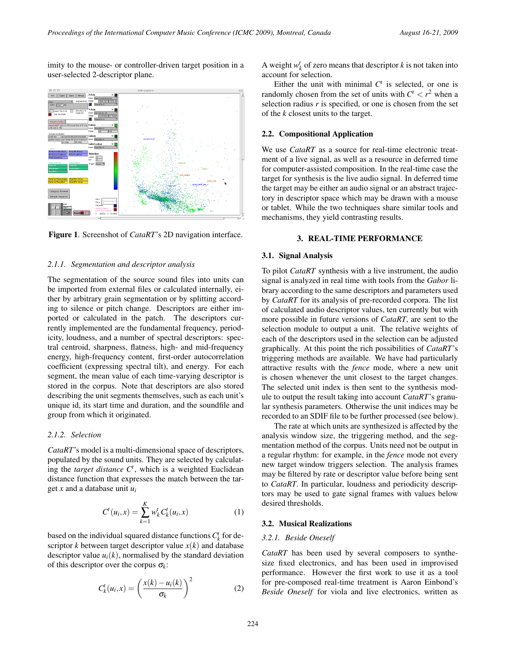<span id="page-2-0"></span>imity to the mouse- or controller-driven target position in a user-selected 2-descriptor plane.



Figure 1. Screenshot of *CataRT*'s 2D navigation interface.

#### *2.1.1. Segmentation and descriptor analysis*

The segmentation of the source sound files into units can be imported from external files or calculated internally, either by arbitrary grain segmentation or by splitting according to silence or pitch change. Descriptors are either imported or calculated in the patch. The descriptors currently implemented are the fundamental frequency, periodicity, loudness, and a number of spectral descriptors: spectral centroid, sharpness, flatness, high- and mid-frequency energy, high-frequency content, first-order autocorrelation coefficient (expressing spectral tilt), and energy. For each segment, the mean value of each time-varying descriptor is stored in the corpus. Note that descriptors are also stored describing the unit segments themselves, such as each unit's unique id, its start time and duration, and the soundfile and group from which it originated.

#### *2.1.2. Selection*

*CataRT*'s model is a multi-dimensional space of descriptors, populated by the sound units. They are selected by calculating the *target distance C<sup>t</sup>* , which is a weighted Euclidean distance function that expresses the match between the target *x* and a database unit *u<sup>i</sup>*

$$
C^{t}(u_{i}, x) = \sum_{k=1}^{K} w_{k}^{t} C_{k}^{t}(u_{i}, x)
$$
 (1)

based on the individual squared distance functions  $C_k^t$  for descriptor *k* between target descriptor value  $x(k)$  and database descriptor value  $u_i(k)$ , normalised by the standard deviation of this descriptor over the corpus  $\sigma_k$ :

$$
C_k'(u_i, x) = \left(\frac{x(k) - u_i(k)}{\sigma_k}\right)^2 \tag{2}
$$

A weight  $w_k^t$  of zero means that descriptor  $k$  is not taken into account for selection.

Either the unit with minimal  $C<sup>t</sup>$  is selected, or one is randomly chosen from the set of units with  $C^t < r^2$  when a selection radius  $r$  is specified, or one is chosen from the set of the *k* closest units to the target.

#### 2.2. Compositional Application

We use *CataRT* as a source for real-time electronic treatment of a live signal, as well as a resource in deferred time for computer-assisted composition. In the real-time case the target for synthesis is the live audio signal. In deferred time the target may be either an audio signal or an abstract trajectory in descriptor space which may be drawn with a mouse or tablet. While the two techniques share similar tools and mechanisms, they yield contrasting results.

#### 3. REAL-TIME PERFORMANCE

#### 3.1. Signal Analysis

To pilot *CataRT* synthesis with a live instrument, the audio signal is analyzed in real time with tools from the *Gabor* library according to the same descriptors and parameters used by *CataRT* for its analysis of pre-recorded corpora. The list of calculated audio descriptor values, ten currently but with more possible in future versions of *CataRT*, are sent to the selection module to output a unit. The relative weights of each of the descriptors used in the selection can be adjusted graphically. At this point the rich possibilities of *CataRT*'s triggering methods are available. We have had particularly attractive results with the *fence* mode, where a new unit is chosen whenever the unit closest to the target changes. The selected unit index is then sent to the synthesis module to output the result taking into account *CataRT*'s granular synthesis parameters. Otherwise the unit indices may be recorded to an SDIF file to be further processed (see below).

The rate at which units are synthesized is affected by the analysis window size, the triggering method, and the segmentation method of the corpus. Units need not be output in a regular rhythm: for example, in the *fence* mode not every new target window triggers selection. The analysis frames may be filtered by rate or descriptor value before being sent to *CataRT*. In particular, loudness and periodicity descriptors may be used to gate signal frames with values below desired thresholds.

#### 3.2. Musical Realizations

#### *3.2.1. Beside Oneself*

*CataRT* has been used by several composers to synthesize fixed electronics, and has been used in improvised performance. However the first work to use it as a tool for pre-composed real-time treatment is Aaron Einbond's *Beside Oneself* for viola and live electronics, written as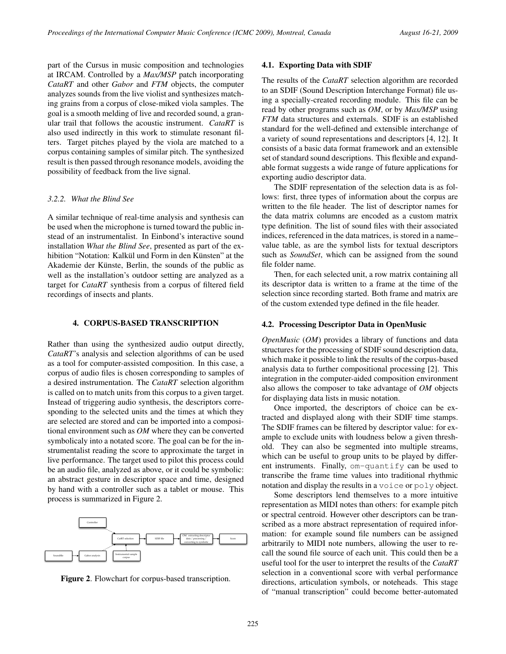<span id="page-3-0"></span>part of the Cursus in music composition and technologies at IRCAM. Controlled by a *Max/MSP* patch incorporating *CataRT* and other *Gabor* and *FTM* objects, the computer analyzes sounds from the live violist and synthesizes matching grains from a corpus of close-miked viola samples. The goal is a smooth melding of live and recorded sound, a granular trail that follows the acoustic instrument. *CataRT* is also used indirectly in this work to stimulate resonant filters. Target pitches played by the viola are matched to a corpus containing samples of similar pitch. The synthesized result is then passed through resonance models, avoiding the possibility of feedback from the live signal.

## *3.2.2. What the Blind See*

A similar technique of real-time analysis and synthesis can be used when the microphone is turned toward the public instead of an instrumentalist. In Einbond's interactive sound installation *What the Blind See*, presented as part of the exhibition "Notation: Kalkül und Form in den Künsten" at the Akademie der Künste, Berlin, the sounds of the public as well as the installation's outdoor setting are analyzed as a target for *CataRT* synthesis from a corpus of filtered field recordings of insects and plants.

#### 4. CORPUS-BASED TRANSCRIPTION

Rather than using the synthesized audio output directly, *CataRT*'s analysis and selection algorithms of can be used as a tool for computer-assisted composition. In this case, a corpus of audio files is chosen corresponding to samples of a desired instrumentation. The *CataRT* selection algorithm is called on to match units from this corpus to a given target. Instead of triggering audio synthesis, the descriptors corresponding to the selected units and the times at which they are selected are stored and can be imported into a compositional environment such as *OM* where they can be converted symbolicaly into a notated score. The goal can be for the instrumentalist reading the score to approximate the target in live performance. The target used to pilot this process could be an audio file, analyzed as above, or it could be symbolic: an abstract gesture in descriptor space and time, designed by hand with a controller such as a tablet or mouse. This process is summarized in Figure 2.



Figure 2. Flowchart for corpus-based transcription.

#### 4.1. Exporting Data with SDIF

The results of the *CataRT* selection algorithm are recorded to an SDIF (Sound Description Interchange Format) file using a specially-created recording module. This file can be read by other programs such as *OM*, or by *Max/MSP* using *FTM* data structures and externals. SDIF is an established standard for the well-defined and extensible interchange of a variety of sound representations and descriptors [4, 12]. It consists of a basic data format framework and an extensible set of standard sound descriptions. This flexible and expandable format suggests a wide range of future applications for exporting audio descriptor data.

The SDIF representation of the selection data is as follows: first, three types of information about the corpus are written to the file header. The list of descriptor names for the data matrix columns are encoded as a custom matrix type definition. The list of sound files with their associated indices, referenced in the data matrices, is stored in a name– value table, as are the symbol lists for textual descriptors such as *SoundSet*, which can be assigned from the sound file folder name.

Then, for each selected unit, a row matrix containing all its descriptor data is written to a frame at the time of the selection since recording started. Both frame and matrix are of the custom extended type defined in the file header.

#### 4.2. Processing Descriptor Data in OpenMusic

*OpenMusic* (*OM*) provides a library of functions and data structures for the processing of SDIF sound description data, which make it possible to link the results of the corpus-based analysis data to further compositional processing [2]. This integration in the computer-aided composition environment also allows the composer to take advantage of *OM* objects for displaying data lists in music notation.

Once imported, the descriptors of choice can be extracted and displayed along with their SDIF time stamps. The SDIF frames can be filtered by descriptor value: for example to exclude units with loudness below a given threshold. They can also be segmented into multiple streams, which can be useful to group units to be played by different instruments. Finally, om-quantify can be used to transcribe the frame time values into traditional rhythmic notation and display the results in a voice or poly object.

Some descriptors lend themselves to a more intuitive representation as MIDI notes than others: for example pitch or spectral centroid. However other descriptors can be transcribed as a more abstract representation of required information: for example sound file numbers can be assigned arbitrarily to MIDI note numbers, allowing the user to recall the sound file source of each unit. This could then be a useful tool for the user to interpret the results of the *CataRT* selection in a conventional score with verbal performance directions, articulation symbols, or noteheads. This stage of "manual transcription" could become better-automated